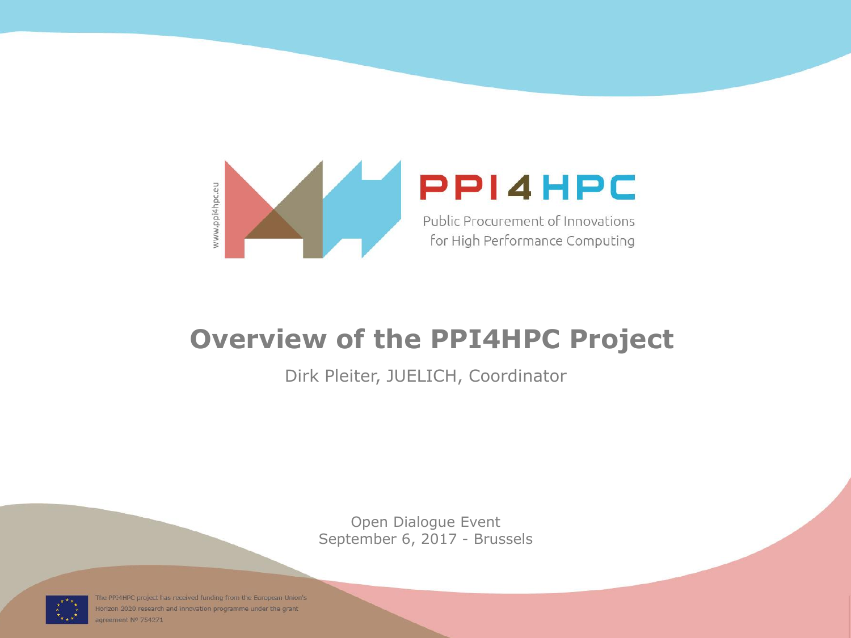

#### **Overview of the PPI4HPC Project**

#### Dirk Pleiter, JUELICH, Coordinator

Open Dialogue Event September 6, 2017 - Brussels



The PPI4HPC project has received funding from the European Union's Horizon 2020 research and innovation programme under the grant agreement Nº 754271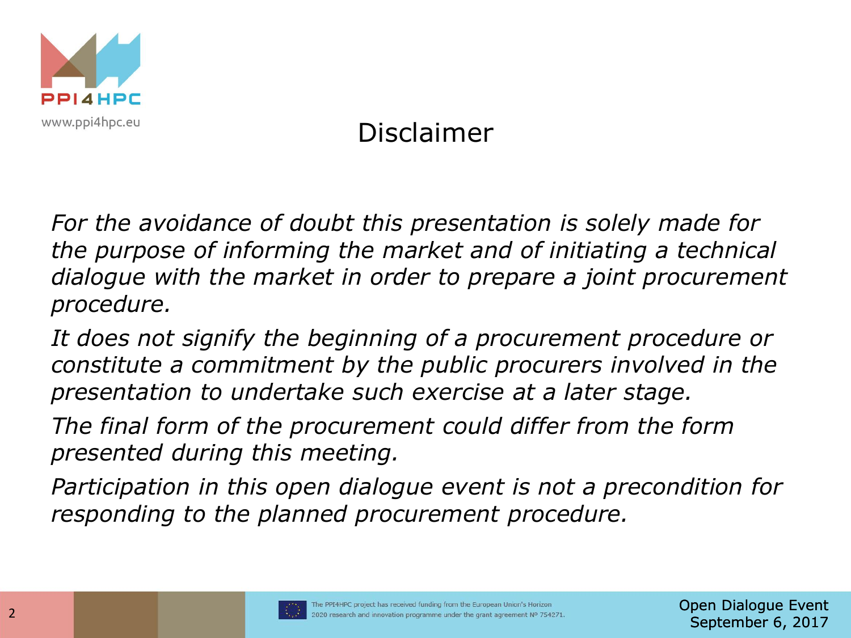

# Disclaimer

*For the avoidance of doubt this presentation is solely made for the purpose of informing the market and of initiating a technical dialogue with the market in order to prepare a joint procurement procedure.* 

*It does not signify the beginning of a procurement procedure or constitute a commitment by the public procurers involved in the presentation to undertake such exercise at a later stage.*

*The final form of the procurement could differ from the form presented during this meeting.*

*Participation in this open dialogue event is not a precondition for responding to the planned procurement procedure.*

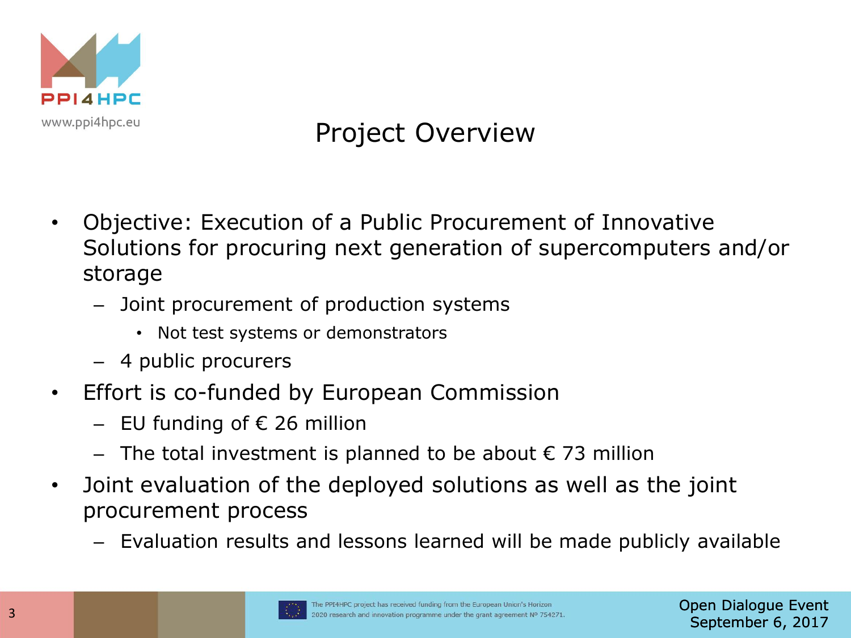

# Project Overview

- Objective: Execution of a Public Procurement of Innovative Solutions for procuring next generation of supercomputers and/or storage
	- Joint procurement of production systems
		- Not test systems or demonstrators
	- 4 public procurers
- Effort is co-funded by European Commission
	- $-$  EU funding of € 26 million
	- $-$  The total investment is planned to be about € 73 million
- Joint evaluation of the deployed solutions as well as the joint procurement process
	- Evaluation results and lessons learned will be made publicly available

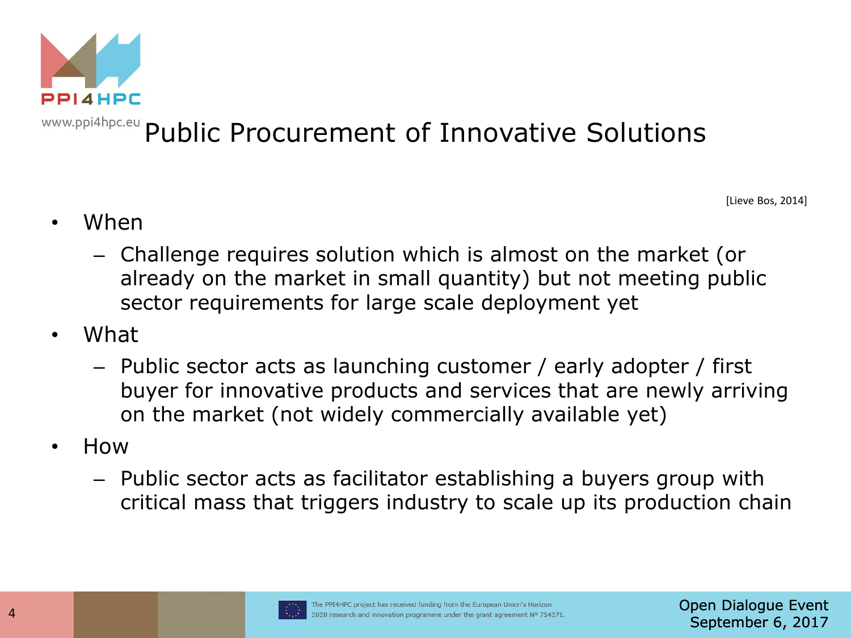

# WWW.ppi4hpc.eu Public Procurement of Innovative Solutions

[Lieve Bos, 2014]

- When
	- Challenge requires solution which is almost on the market (or already on the market in small quantity) but not meeting public sector requirements for large scale deployment yet
- What
	- Public sector acts as launching customer / early adopter / first buyer for innovative products and services that are newly arriving on the market (not widely commercially available yet)
- How
	- Public sector acts as facilitator establishing a buyers group with critical mass that triggers industry to scale up its production chain

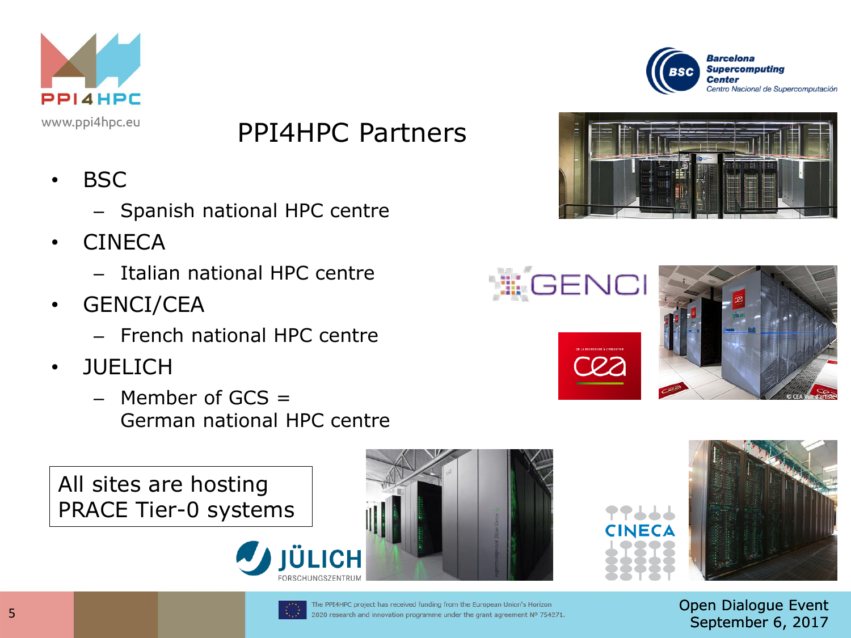

#### PPI4HPC Partners

- BSC
	- Spanish national HPC centre
- CINECA
	- Italian national HPC centre
- GENCI/CEA
	- French national HPC centre
- JUELICH
	- $-$  Member of GCS  $=$ German national HPC centre

All sites are hosting PRACE Tier-0 systems













Open Dialogue Event September 6, 2017



The PPI4HPC project has received funding from the European Union's Horizon 2020 research and innovation programme under the grant agreement Nº 754271.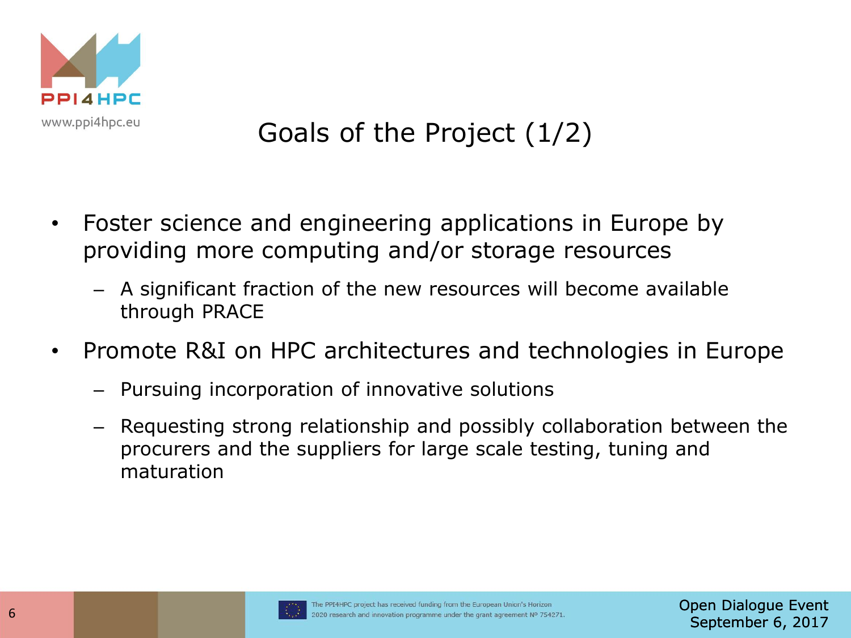

# Goals of the Project (1/2)

- Foster science and engineering applications in Europe by providing more computing and/or storage resources
	- A significant fraction of the new resources will become available through PRACE
- Promote R&I on HPC architectures and technologies in Europe
	- Pursuing incorporation of innovative solutions
	- Requesting strong relationship and possibly collaboration between the procurers and the suppliers for large scale testing, tuning and maturation

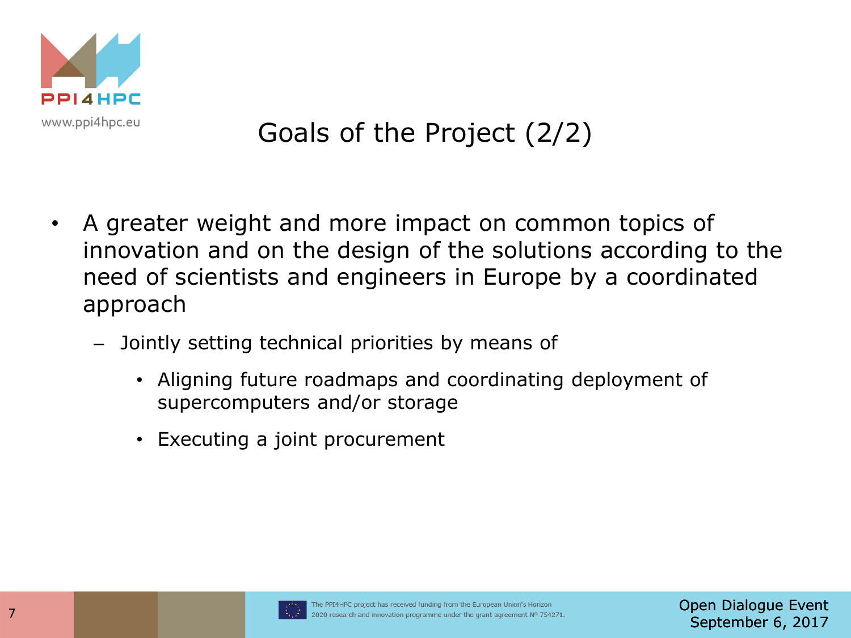

# Goals of the Project (2/2)

- A greater weight and more impact on common topics of innovation and on the design of the solutions according to the need of scientists and engineers in Europe by a coordinated approach
	- Jointly setting technical priorities by means of
		- Aligning future roadmaps and coordinating deployment of supercomputers and/or storage
		- Executing a joint procurement

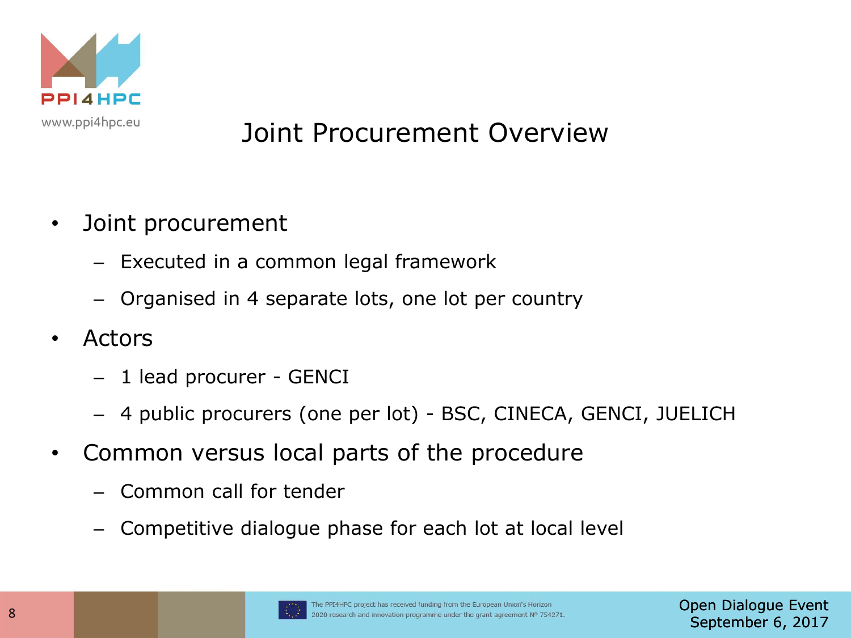

### Joint Procurement Overview

- Joint procurement
	- Executed in a common legal framework
	- Organised in 4 separate lots, one lot per country
- Actors
	- 1 lead procurer GENCI
	- 4 public procurers (one per lot) BSC, CINECA, GENCI, JUELICH
- Common versus local parts of the procedure
	- Common call for tender
	- Competitive dialogue phase for each lot at local level

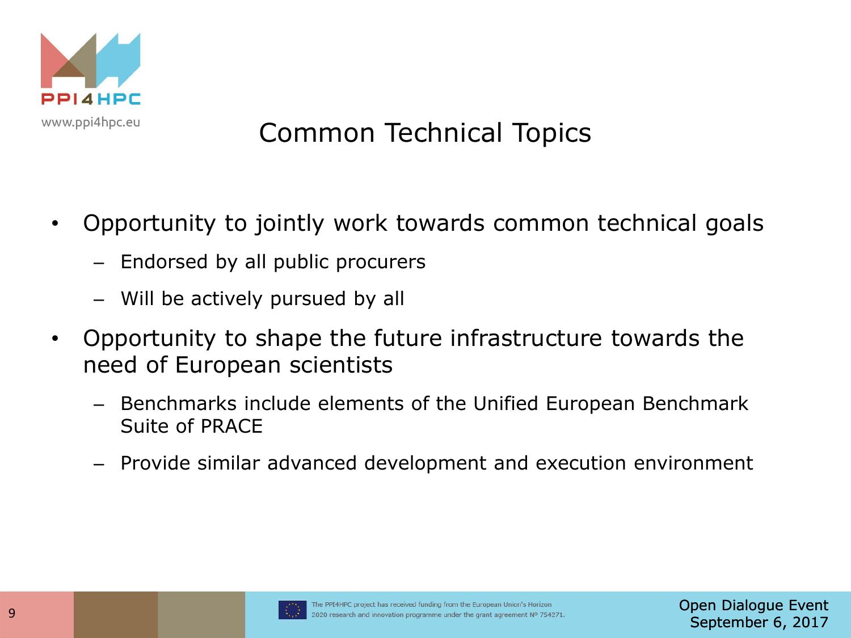

# Common Technical Topics

- Opportunity to jointly work towards common technical goals
	- Endorsed by all public procurers
	- Will be actively pursued by all
- Opportunity to shape the future infrastructure towards the need of European scientists
	- Benchmarks include elements of the Unified European Benchmark Suite of PRACE
	- Provide similar advanced development and execution environment

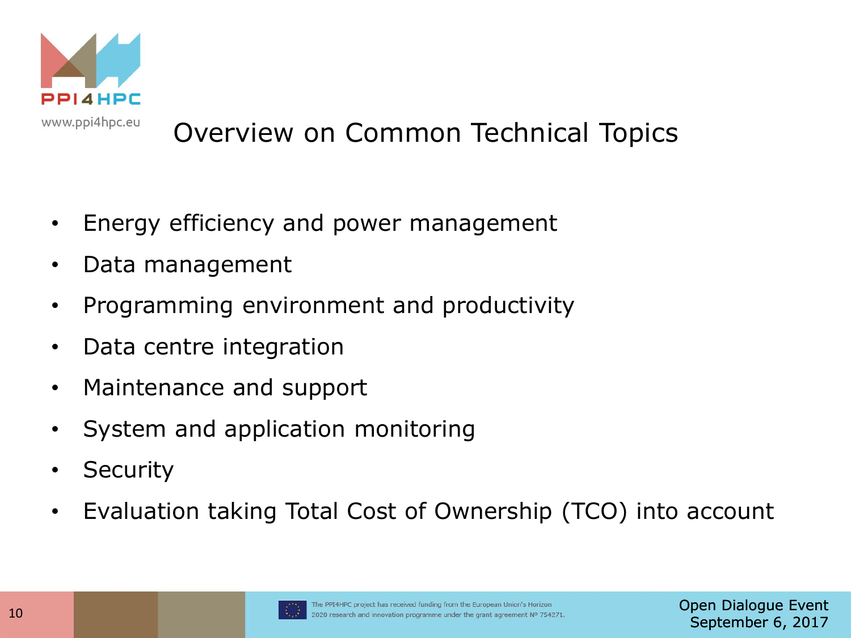

# Overview on Common Technical Topics

- Energy efficiency and power management
- Data management
- Programming environment and productivity
- Data centre integration
- Maintenance and support
- System and application monitoring
- Security
- Evaluation taking Total Cost of Ownership (TCO) into account

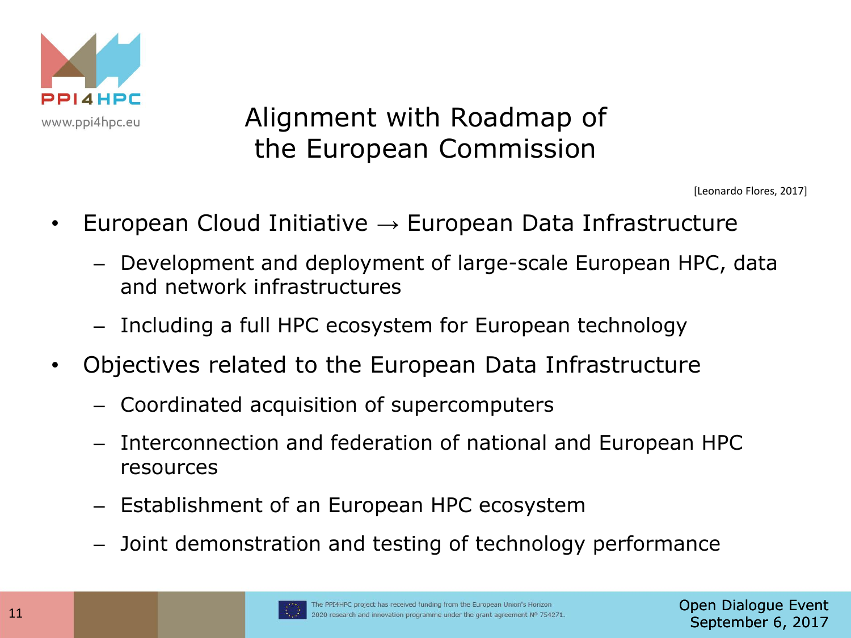

#### Alignment with Roadmap of the European Commission

- European Cloud Initiative  $\rightarrow$  European Data Infrastructure
- Development and deployment of large-scale European HPC, data and network infrastructures 11 **European Cloud Initiative** → European Data Infrastructure<br>
- Development and deployment of large-scale European HPC, data<br>
and network infrastructures<br>
- Including a full HPC ecosystem for European technology<br>
- Obj
	- Including a full HPC ecosystem for European technology
	- Objectives related to the European Data Infrastructure
		- Coordinated acquisition of supercomputers
		- Interconnection and federation of national and European HPC resources
		- Establishment of an European HPC ecosystem
		- Joint demonstration and testing of technology performance

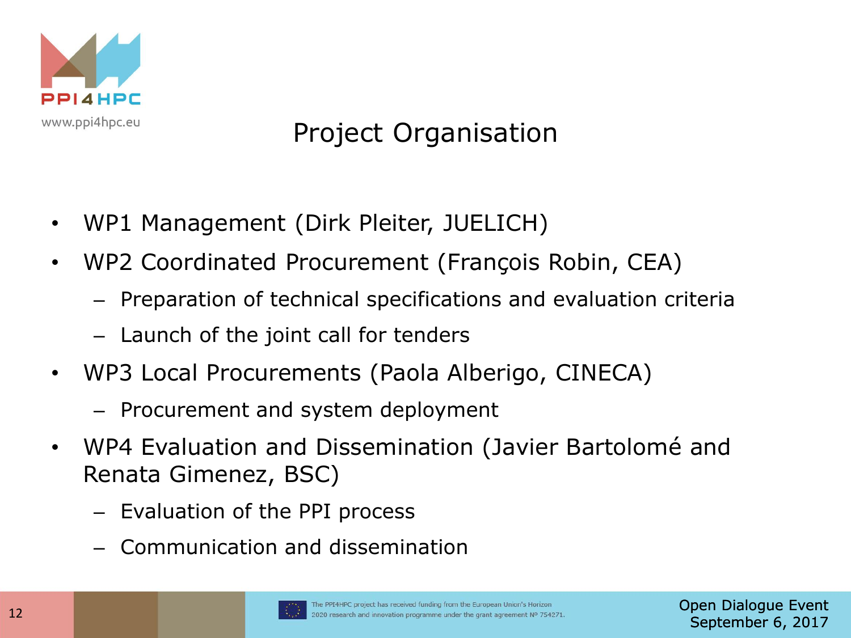

### Project Organisation

- WP1 Management (Dirk Pleiter, JUELICH)
- WP2 Coordinated Procurement (François Robin, CEA)
	- Preparation of technical specifications and evaluation criteria
	- Launch of the joint call for tenders
- WP3 Local Procurements (Paola Alberigo, CINECA)
	- Procurement and system deployment
- WP4 Evaluation and Dissemination (Javier Bartolomé and Renata Gimenez, BSC)
	- Evaluation of the PPI process
	- Communication and dissemination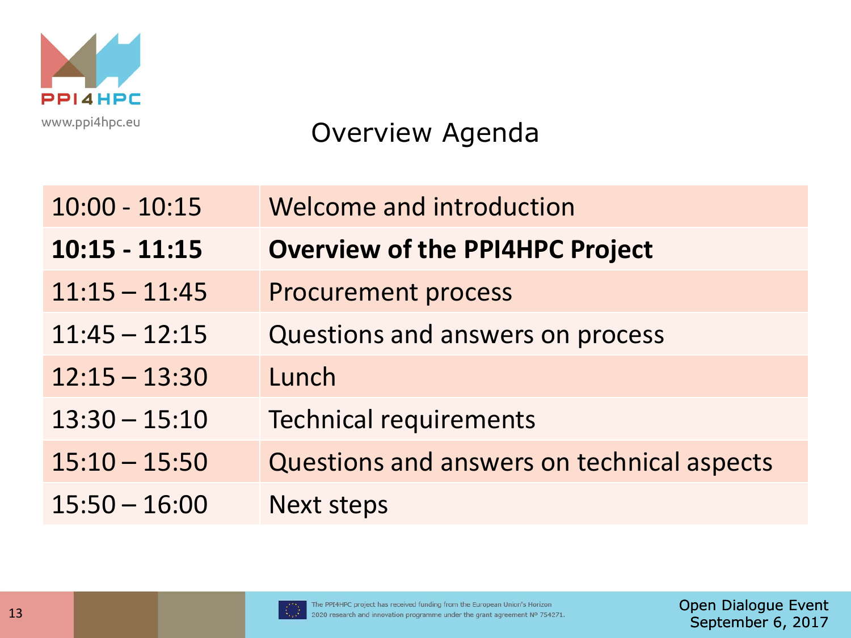

#### Overview Agenda

|    | $10:00 - 10:15$ | Welcome and introduction                                                                                                                                  |                                           |
|----|-----------------|-----------------------------------------------------------------------------------------------------------------------------------------------------------|-------------------------------------------|
|    | $10:15 - 11:15$ | <b>Overview of the PPI4HPC Project</b>                                                                                                                    |                                           |
|    | $11:15 - 11:45$ | <b>Procurement process</b>                                                                                                                                |                                           |
|    | $11:45 - 12:15$ | Questions and answers on process                                                                                                                          |                                           |
|    | $12:15 - 13:30$ | Lunch                                                                                                                                                     |                                           |
|    | $13:30 - 15:10$ | <b>Technical requirements</b>                                                                                                                             |                                           |
|    | $15:10 - 15:50$ | Questions and answers on technical aspects                                                                                                                |                                           |
|    | $15:50 - 16:00$ | <b>Next steps</b>                                                                                                                                         |                                           |
|    |                 |                                                                                                                                                           |                                           |
|    |                 |                                                                                                                                                           |                                           |
| 13 |                 | The PPI4HPC project has received funding from the European Union's Horizon<br>2020 research and innovation programme under the grant agreement Nº 754271. | Open Dialogue Ev<br>$C$ antanahan $C$ $D$ |

Open Dialogue Event September 6, 2017